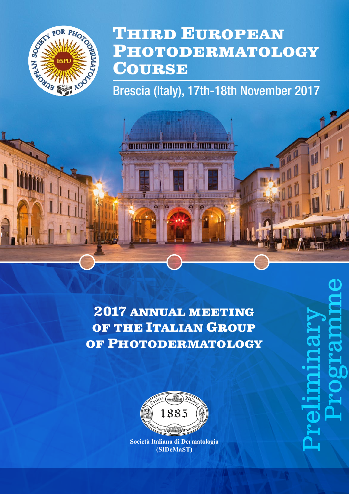

# **Third European Photodermatology Course**

Brescia (Italy), 17th-18th November 2017

*<u>ETITI WIITI</u>* 

. . . . . . . . . . . .

**2017 annual meeting of the Italian Group of Photodermatology**



**Società Italiana di Dermatologia (SIDeMaST)**

Preliminary Programme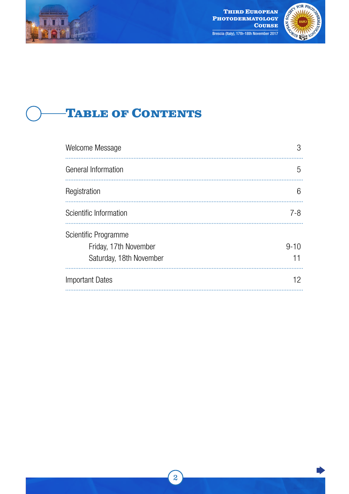<span id="page-1-0"></span>



# **Table of Contents**

| Welcome Message                                                          | З              |
|--------------------------------------------------------------------------|----------------|
| General Information                                                      | h.             |
| Registration                                                             | 6              |
| Scientific Information                                                   | $7 - 8$        |
| Scientific Programme<br>Friday, 17th November<br>Saturday, 18th November | $9 - 10$<br>11 |
| <b>Important Dates</b>                                                   | 12             |

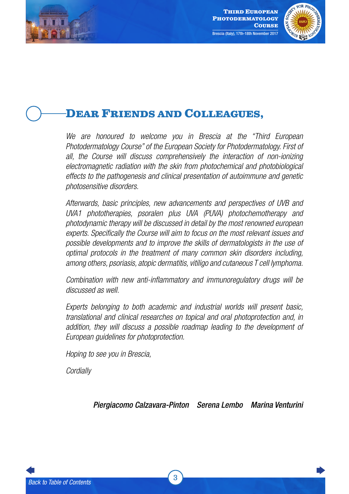<span id="page-2-0"></span>



# **Dear Friends and Colleagues,**

*We are honoured to welcome you in Brescia at the "Third European Photodermatology Course" of the European Society for Photodermatology. First of all, the Course will discuss comprehensively the interaction of non-ionizing electromagnetic radiation with the skin from photochemical and photobiological effects to the pathogenesis and clinical presentation of autoimmune and genetic photosensitive disorders.*

*Afterwards, basic principles, new advancements and perspectives of UVB and UVA1 phototherapies, psoralen plus UVA (PUVA) photochemotherapy and photodynamic therapy will be discussed in detail by the most renowned european experts. Specifically the Course will aim to focus on the most relevant issues and possible developments and to improve the skills of dermatologists in the use of optimal protocols in the treatment of many common skin disorders including, among others, psoriasis, atopic dermatitis, vitiligo and cutaneous T cell lymphoma.*

*Combination with new anti-inflammatory and immunoregulatory drugs will be discussed as well.*

*Experts belonging to both academic and industrial worlds will present basic, translational and clinical researches on topical and oral photoprotection and, in*  addition, they will discuss a possible roadmap leading to the development of *European guidelines for photoprotection.* 

*Hoping to see you in Brescia,*

*Cordially*

*Piergiacomo Calzavara-Pinton Serena Lembo Marina Venturini*

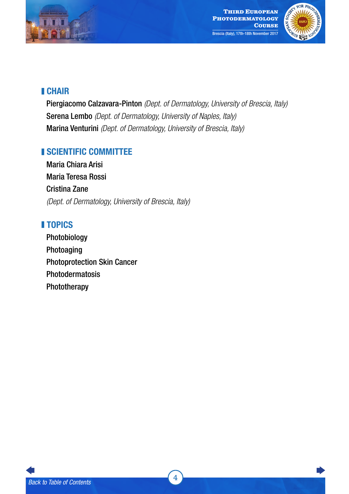



#### CHAIR

Piergiacomo Calzavara-Pinton *(Dept. of Dermatology, University of Brescia, Italy)* Serena Lembo *(Dept. of Dermatology, University of Naples, Italy)* Marina Venturini *(Dept. of Dermatology, University of Brescia, Italy)*

#### **ISCIENTIFIC COMMITTEE**

Maria Chiara Arisi Maria Teresa Rossi Cristina Zane *(Dept. of Dermatology, University of Brescia, Italy)*

#### **TOPICS**

Photobiology Photoaging Photoprotection Skin Cancer Photodermatosis Phototherapy

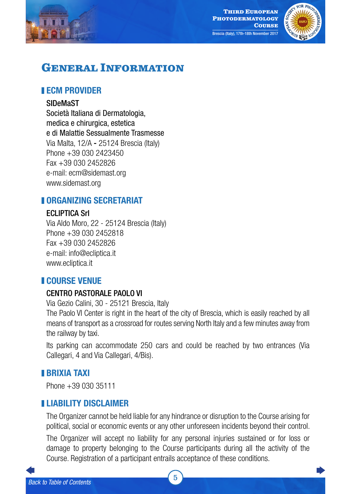<span id="page-4-0"></span>



# **General Information**

#### **ECM PROVIDER**

#### SIDeMaST

Società Italiana di Dermatologia, medica e chirurgica, estetica e di Malattie Sessualmente Trasmesse Via Malta, 12/A - 25124 Brescia (Italy) Phone +39 030 2423450 Fax +39 030 2452826 e-mail: ecm@sidemast.org www.sidemast.org

#### **II ORGANIZING SECRETARIAT**

#### **FCI IPTICA Srl**

Via Aldo Moro, 22 - 25124 Brescia (Italy) Phone +39 030 2452818 Fax +39 030 2452826 e-mail: [info@ecliptica.it](mailto:info@ecliptica.it) [www.ecliptica.it](http://www.ecliptica.it)

#### COURSE VENUE

#### CENTRO PASTORALE PAOLO VI

Via Gezio Calini, 30 - 25121 Brescia, Italy

The Paolo VI Center is right in the heart of the city of Brescia, which is easily reached by all means of transport as a crossroad for routes serving North Italy and a few minutes away from the railway by taxi.

Its parking can accommodate 250 cars and could be reached by two entrances (Via Callegari, 4 and Via Callegari, 4/Bis).

#### BRIXIA TAXI

Phone +39 030 35111

#### LIABILITY DISCLAIMER

The Organizer cannot be held liable for any hindrance or disruption to the Course arising for political, social or economic events or any other unforeseen incidents beyond their control.

The Organizer will accept no liability for any personal injuries sustained or for loss or damage to property belonging to the Course participants during all the activity of the Course. Registration of a participant entrails acceptance of these conditions.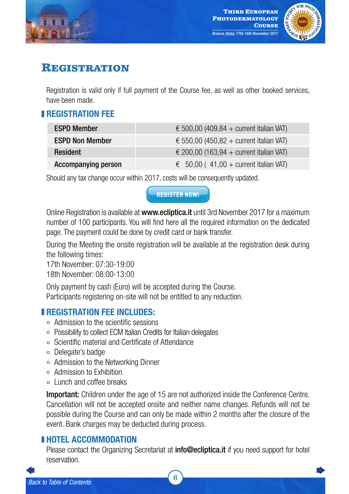<span id="page-5-0"></span>



# **Registration**

Registration is valid only if full payment of the Course fee, as well as other booked services, have been made.

#### **REGISTRATION FFF**

| <b>ESPD Member</b>         | $\epsilon$ 500,00 (409,84 + current italian VAT) |
|----------------------------|--------------------------------------------------|
| <b>ESPD Non Member</b>     | $\epsilon$ 550,00 (450,82 + current italian VAT) |
| <b>Resident</b>            | $\epsilon$ 200,00 (163,94 + current italian VAT) |
| <b>Accompanying person</b> | $\epsilon$ 50,00 (41,00 + current italian VAT)   |

Should any tax change occur within 2017, costs will be consequently updated.

Online Registration is available at www.ecliptica.it until 3rd November 2017 for a maximum number of 100 participants. You will find here all the required information on the dedicated page. The payment could be done by credit card or bank transfer.

During the Meeting the onsite registration will be available at the registration desk during the following times:

17th November: 07:30-19:00

18th November: 08:00-13:00

Only payment by cash (Euro) will be accepted during the Course. Participants registering on-site will not be entitled to any reduction.

#### **REGISTRATION FEE INCLUDES:**

- Admission to the scientific sessions
- ¢ Possibility to collect ECM Italian Credits for Italian delegates
- ¢ Scientific material and Certificate of Attendance
- ¢ Delegate's badge
- ¢ Admission to the Networking Dinner
- ¢ Admission to Exhibition
- **o** Lunch and coffee breaks

**Important:** Children under the age of 15 are not authorized inside the Conference Centre. Cancellation will not be accepted onsite and neither name changes. Refunds will not be possible during the Course and can only be made within 2 months after the closure of the event. Bank charges may be deducted during process. **CONTROLLATE CONTROLLATE CONTROLLATE CONTROLLATE CONTROLLATE SERVIT (Bagge.** The payment could be done by credit card or be During the Meeting the onsite registration will be average to During the Meeting the onsite regist

#### **HOTEL ACCOMMODATION**

Please contact the Organizing Secretariat at **[info@ecliptica.it](mailto:info@ecliptica.it)** if you need support for hotel reservation.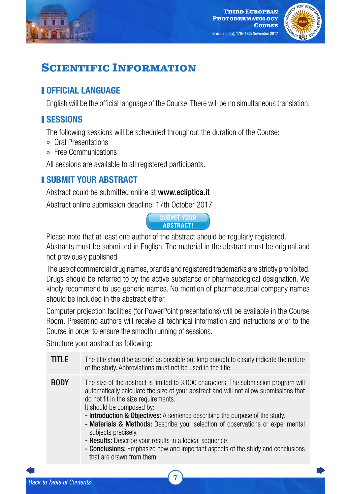<span id="page-6-0"></span>



# **SCIENTIFIC INFORMATION**

#### **NOFFICIAL LANGUAGE**

English will be the official language of the Course. There will be no simultaneous translation.

### **ISESSIONS**

The following sessions will be scheduled throughout the duration of the Course:

- ¢ Oral Presentations
- **•** Free Communications

All sessions are available to all registered participants.

### **I SUBMIT YOUR ABSTRACT**

Abstract could be submitted online at [www.ecliptica.it](http://www.ecliptica.it)

Abstract online submission deadline: 17th October 2017



Please note that at least one author of the abstract should be regularly registered.

Abstracts must be submitted in English. The material in the abstract must be original and not previously published.

The use of commercial drug names, brands and registered trademarks are strictly prohibited. Drugs should be referred to by the active substance or pharmacological designation. We kindly recommend to use generic names. No mention of pharmaceutical company names should be included in the abstract either.

Computer projection facilities (for PowerPoint presentations) will be available in the Course Room. Presenting authors will receive all technical information and instructions prior to the Course in order to ensure the smooth running of sessions.

Structure your abstract as following:

- **TITLE** The title should be as brief as possible but long enough to clearly indicate the nature of the study. Abbreviations must not be used in the title. BODY The size of the abstract is limited to 3.000 characters. The submission program will automatically calculate the size of your abstract and will not allow submissions that do not fit in the size requirements. It should be composed by: - Introduction & Objectives: A sentence describing the purpose of the study. - Materials & Methods: Describe your selection of observations or experimental subjects precisely. - Results: Describe your results in a logical sequence. **EXERCITE:**<br> **EXERCITE:**<br> **EXERCITE:**<br> **EXERCITE:**<br> **EXERCITE:**<br> **EXERCITE:**<br> **EXERCITE:**<br> **EXERCITE:**<br> **EXERCITE:**<br> **EXERCITE:**<br> **EXERCITE:**<br> **EXERCITE:**<br> **EXERCITE:**<br> **EXERCITE:**<br> **EXERCITE:**<br> **EXERCITE:**<br> **EXERCITE:**<br>
	- Conclusions: Emphasize new and important aspects of the study and conclusions that are drawn from them.

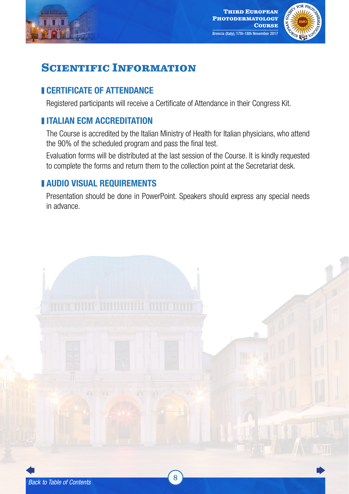



# **SCIENTIFIC INFORMATION**

#### **CERTIFICATE OF ATTENDANCE**

Registered participants will receive a Certificate of Attendance in their Congress Kit.

### **IITALIAN FCM ACCREDITATION**

The Course is accredited by the Italian Ministry of Health for Italian physicians, who attend the 90% of the scheduled program and pass the final test.

Evaluation forms will be distributed at the last session of the Course. It is kindly requested to complete the forms and return them to the collection point at the Secretariat desk.

#### AUDIO VISUAL REQUIREMENTS

Presentation should be done in PowerPoint. Speakers should express any special needs in advance.

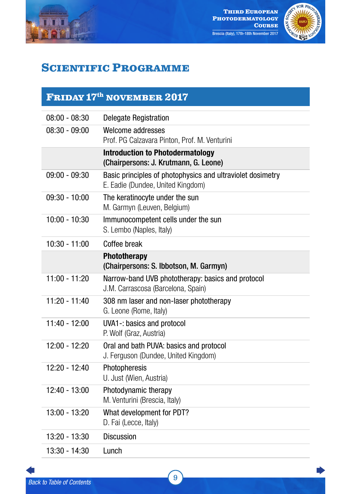<span id="page-8-0"></span>



# **Scientific Programme**

## **Friday 17th november 2017**

| $08:00 - 08:30$ | Delegate Registration                                                                           |
|-----------------|-------------------------------------------------------------------------------------------------|
| $08:30 - 09:00$ | Welcome addresses<br>Prof. PG Calzavara Pinton, Prof. M. Venturini                              |
|                 | <b>Introduction to Photodermatology</b><br>(Chairpersons: J. Krutmann, G. Leone)                |
| $09:00 - 09:30$ | Basic principles of photophysics and ultraviolet dosimetry<br>E. Eadie (Dundee, United Kingdom) |
| $09:30 - 10:00$ | The keratinocyte under the sun<br>M. Garmyn (Leuven, Belgium)                                   |
| $10:00 - 10:30$ | Immunocompetent cells under the sun<br>S. Lembo (Naples, Italy)                                 |
| $10:30 - 11:00$ | Coffee break                                                                                    |
|                 | Phototherapy<br>(Chairpersons: S. Ibbotson, M. Garmyn)                                          |
| $11:00 - 11:20$ | Narrow-band UVB phototherapy: basics and protocol<br>J.M. Carrascosa (Barcelona, Spain)         |
| 11:20 - 11:40   | 308 nm laser and non-laser phototherapy<br>G. Leone (Rome, Italy)                               |
| $11:40 - 12:00$ | UVA1 -: basics and protocol<br>P. Wolf (Graz, Austria)                                          |
| $12:00 - 12:20$ | Oral and bath PUVA: basics and protocol<br>J. Ferguson (Dundee, United Kingdom)                 |
| $12:20 - 12:40$ | Photopheresis<br>U. Just (Wien, Austria)                                                        |
| $12:40 - 13:00$ | Photodynamic therapy<br>M. Venturini (Brescia, Italy)                                           |
| 13:00 - 13:20   | What development for PDT?<br>D. Fai (Lecce, Italy)                                              |
| $13:20 - 13:30$ | <b>Discussion</b>                                                                               |
| 13:30 - 14:30   | Lunch                                                                                           |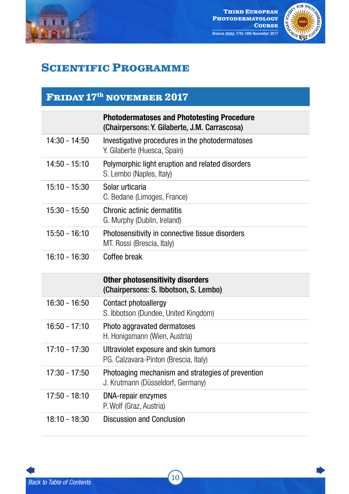



# **Scientific Programme**

### **Friday 17th november 2017**

|                 | <b>Photodermatoses and Phototesting Procedure</b><br>(Chairpersons: Y. Gilaberte, J.M. Carrascosa) |
|-----------------|----------------------------------------------------------------------------------------------------|
| $14:30 - 14:50$ | Investigative procedures in the photodermatoses<br>Y. Gilaberte (Huesca, Spain)                    |
| $14:50 - 15:10$ | Polymorphic light eruption and related disorders<br>S. Lembo (Naples, Italy)                       |
| $15:10 - 15:30$ | Solar urticaria<br>C. Bedane (Limoges, France)                                                     |
| 15:30 - 15:50   | Chronic actinic dermatitis<br>G. Murphy (Dublin, Ireland)                                          |
| $15:50 - 16:10$ | Photosensitivity in connective tissue disorders<br>MT. Rossi (Brescia, Italy)                      |
| $16:10 - 16:30$ | Coffee break                                                                                       |
|                 |                                                                                                    |
|                 | <b>Other photosensitivity disorders</b><br>(Chairpersons: S. Ibbotson, S. Lembo)                   |
| $16:30 - 16:50$ | Contact photoallergy<br>S. Ibbotson (Dundee, United Kingdom)                                       |
| $16:50 - 17:10$ | Photo aggravated dermatoses<br>H. Honigsmann (Wien, Austria)                                       |
| $17:10 - 17:30$ | Ultraviolet exposure and skin tumors<br>PG. Calzavara-Pinton (Brescia, Italy)                      |
| $17:30 - 17:50$ | Photoaging mechanism and strategies of prevention<br>J. Krutmann (Düsseldorf, Germany)             |
| $17:50 - 18:10$ | DNA-repair enzymes<br>P. Wolf (Graz, Austria)                                                      |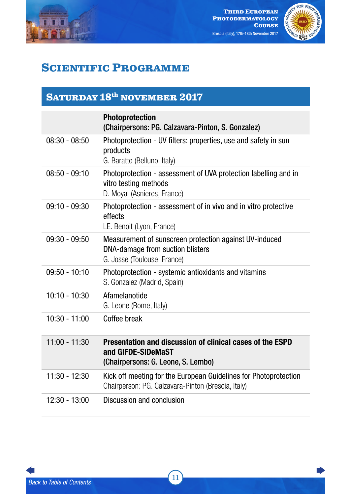<span id="page-10-0"></span>



# **Scientific Programme**

### SATURDAY 18<sup>th</sup> NOVEMBER 2017

|                 | <b>Photoprotection</b><br>(Chairpersons: PG. Calzavara-Pinton, S. Gonzalez)                                               |
|-----------------|---------------------------------------------------------------------------------------------------------------------------|
| $08:30 - 08:50$ | Photoprotection - UV filters: properties, use and safety in sun<br>products<br>G. Baratto (Belluno, Italy)                |
| $08:50 - 09:10$ | Photoprotection - assessment of UVA protection labelling and in<br>vitro testing methods<br>D. Moyal (Asnieres, France)   |
| $09:10 - 09:30$ | Photoprotection - assessment of in vivo and in vitro protective<br>effects<br>LE. Benoit (Lyon, France)                   |
| $09:30 - 09:50$ | Measurement of sunscreen protection against UV-induced<br>DNA-damage from suction blisters<br>G. Josse (Toulouse, France) |
| $09:50 - 10:10$ | Photoprotection - systemic antioxidants and vitamins<br>S. Gonzalez (Madrid, Spain)                                       |
| $10:10 - 10:30$ | Afamelanotide<br>G. Leone (Rome, Italy)                                                                                   |
| $10:30 - 11:00$ | Coffee break                                                                                                              |
| $11:00 - 11:30$ | Presentation and discussion of clinical cases of the ESPD<br>and GIFDE-SIDeMaST<br>(Chairpersons: G. Leone, S. Lembo)     |
| 11:30 - 12:30   | Kick off meeting for the European Guidelines for Photoprotection<br>Chairperson: PG. Calzavara-Pinton (Brescia, Italy)    |
| $12:30 - 13:00$ | Discussion and conclusion                                                                                                 |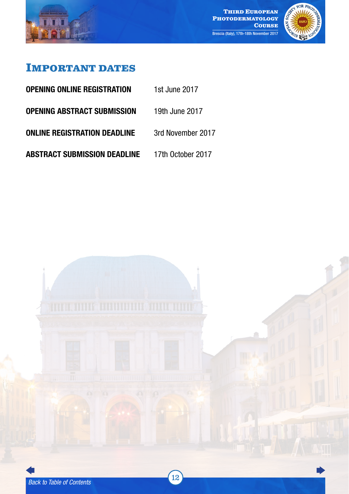<span id="page-11-0"></span>



### **Important dates**

- **OPENING ONLINE REGISTRATION** 1st June 2017
- OPENING ABSTRACT SUBMISSION 19th June 2017
- **ONLINE REGISTRATION DEADLINE** 3rd November 2017
- ABSTRACT SUBMISSION DEADLINE 17th October 2017